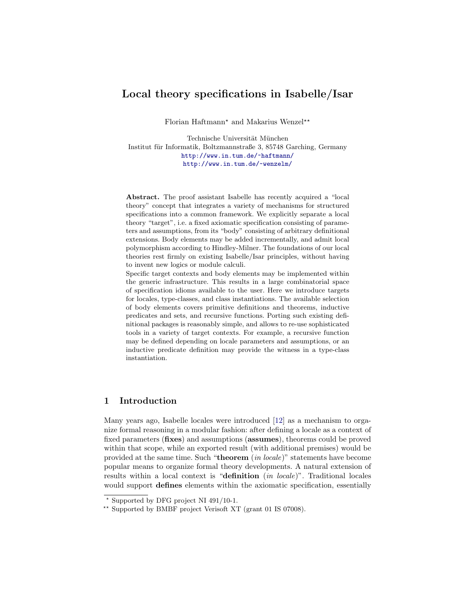# Local theory specifications in Isabelle/Isar

Florian Haftmann<sup>\*</sup> and Makarius Wenzel<sup>\*\*</sup>

Technische Universität München Institut für Informatik, Boltzmannstraße 3, 85748 Garching, Germany <http://www.in.tum.de/~haftmann/> <http://www.in.tum.de/~wenzelm/>

Abstract. The proof assistant Isabelle has recently acquired a "local theory" concept that integrates a variety of mechanisms for structured specifications into a common framework. We explicitly separate a local theory "target", i.e. a fixed axiomatic specification consisting of parameters and assumptions, from its "body" consisting of arbitrary definitional extensions. Body elements may be added incrementally, and admit local polymorphism according to Hindley-Milner. The foundations of our local theories rest firmly on existing Isabelle/Isar principles, without having to invent new logics or module calculi.

Specific target contexts and body elements may be implemented within the generic infrastructure. This results in a large combinatorial space of specification idioms available to the user. Here we introduce targets for locales, type-classes, and class instantiations. The available selection of body elements covers primitive definitions and theorems, inductive predicates and sets, and recursive functions. Porting such existing definitional packages is reasonably simple, and allows to re-use sophisticated tools in a variety of target contexts. For example, a recursive function may be defined depending on locale parameters and assumptions, or an inductive predicate definition may provide the witness in a type-class instantiation.

# 1 Introduction

Many years ago, Isabelle locales were introduced [\[12\]](#page-16-0) as a mechanism to organize formal reasoning in a modular fashion: after defining a locale as a context of fixed parameters (fixes) and assumptions (assumes), theorems could be proved within that scope, while an exported result (with additional premises) would be provided at the same time. Such "theorem (in locale)" statements have become popular means to organize formal theory developments. A natural extension of results within a local context is "definition (in locale)". Traditional locales would support defines elements within the axiomatic specification, essentially

 $*$  Supported by DFG project NI 491/10-1.

<sup>\*\*</sup> Supported by BMBF project Verisoft XT (grant 01 IS 07008).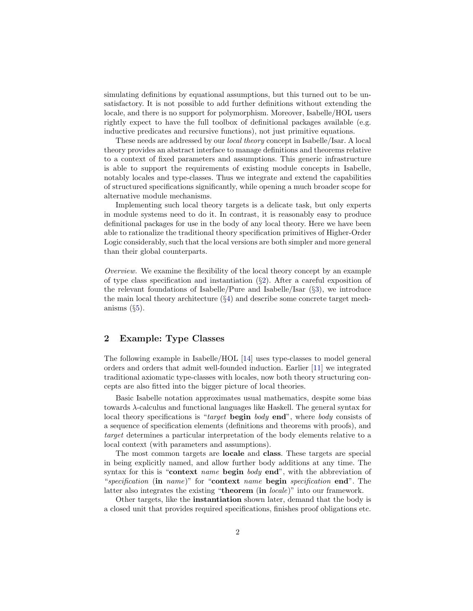simulating definitions by equational assumptions, but this turned out to be unsatisfactory. It is not possible to add further definitions without extending the locale, and there is no support for polymorphism. Moreover, Isabelle/HOL users rightly expect to have the full toolbox of definitional packages available (e.g. inductive predicates and recursive functions), not just primitive equations.

These needs are addressed by our local theory concept in Isabelle/Isar. A local theory provides an abstract interface to manage definitions and theorems relative to a context of fixed parameters and assumptions. This generic infrastructure is able to support the requirements of existing module concepts in Isabelle, notably locales and type-classes. Thus we integrate and extend the capabilities of structured specifications significantly, while opening a much broader scope for alternative module mechanisms.

Implementing such local theory targets is a delicate task, but only experts in module systems need to do it. In contrast, it is reasonably easy to produce definitional packages for use in the body of any local theory. Here we have been able to rationalize the traditional theory specification primitives of Higher-Order Logic considerably, such that the local versions are both simpler and more general than their global counterparts.

Overview. We examine the flexibility of the local theory concept by an example of type class specification and instantiation (§[2\)](#page-1-0). After a careful exposition of the relevant foundations of Isabelle/Pure and Isabelle/Isar  $(\S3)$  $(\S3)$ , we introduce the main local theory architecture  $(\S4)$  $(\S4)$  and describe some concrete target mechanisms  $(\S5)$  $(\S5)$ .

# <span id="page-1-0"></span>2 Example: Type Classes

The following example in Isabelle/HOL [\[14\]](#page-16-1) uses type-classes to model general orders and orders that admit well-founded induction. Earlier [\[11\]](#page-15-0) we integrated traditional axiomatic type-classes with locales, now both theory structuring concepts are also fitted into the bigger picture of local theories.

Basic Isabelle notation approximates usual mathematics, despite some bias towards λ-calculus and functional languages like Haskell. The general syntax for local theory specifications is "target begin body end", where body consists of a sequence of specification elements (definitions and theorems with proofs), and target determines a particular interpretation of the body elements relative to a local context (with parameters and assumptions).

The most common targets are locale and class. These targets are special in being explicitly named, and allow further body additions at any time. The syntax for this is "context *name* begin *body* end", with the abbreviation of "specification (in name)" for "context name begin specification end". The latter also integrates the existing "theorem (in locale)" into our framework.

Other targets, like the instantiation shown later, demand that the body is a closed unit that provides required specifications, finishes proof obligations etc.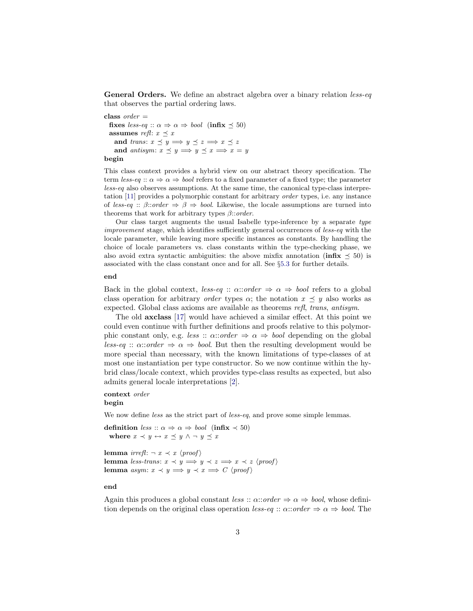General Orders. We define an abstract algebra over a binary relation *less-eq* that observes the partial ordering laws.

class  $order =$ fixes less-eq ::  $\alpha \Rightarrow \alpha \Rightarrow \text{bool}$  (infix  $\preceq 50$ ) assumes *refl*:  $x \preceq x$ and trans:  $x \preceq y \Longrightarrow y \preceq z \Longrightarrow x \preceq z$ and antisym:  $x \preceq y \Longrightarrow y \preceq x \Longrightarrow x = y$ begin

This class context provides a hybrid view on our abstract theory specification. The term less-eq ::  $\alpha \Rightarrow \alpha \Rightarrow \text{bool}$  refers to a fixed parameter of a fixed type; the parameter less-eq also observes assumptions. At the same time, the canonical type-class interpretation [\[11\]](#page-15-0) provides a polymorphic constant for arbitrary order types, i.e. any instance of less-eq ::  $\beta$ ::order  $\Rightarrow \beta \Rightarrow$  bool. Likewise, the locale assumptions are turned into theorems that work for arbitrary types  $\beta$ ::order.

Our class target augments the usual Isabelle type-inference by a separate type improvement stage, which identifies sufficiently general occurrences of less-eq with the locale parameter, while leaving more specific instances as constants. By handling the choice of locale parameters vs. class constants within the type-checking phase, we also avoid extra syntactic ambiguities: the above mixfix annotation ( $\text{infix} \leq 50$ ) is associated with the class constant once and for all. See §[5.3](#page-11-0) for further details.

#### end

Back in the global context, less-eq ::  $\alpha$ ::order  $\Rightarrow \alpha \Rightarrow \text{bool}$  refers to a global class operation for arbitrary *order* types  $\alpha$ ; the notation  $x \leq y$  also works as expected. Global class axioms are available as theorems refl, trans, antisym.

The old axclass [\[17\]](#page-16-2) would have achieved a similar effect. At this point we could even continue with further definitions and proofs relative to this polymorphic constant only, e.g. less ::  $\alpha$ ::order  $\Rightarrow \alpha \Rightarrow$  bool depending on the global less-eq ::  $\alpha$ ::order  $\Rightarrow \alpha \Rightarrow$  bool. But then the resulting development would be more special than necessary, with the known limitations of type-classes of at most one instantiation per type constructor. So we now continue within the hybrid class/locale context, which provides type-class results as expected, but also admits general locale interpretations [\[2\]](#page-15-1).

context order begin

We now define *less* as the strict part of *less-eq*, and prove some simple lemmas.

definition less ::  $\alpha \Rightarrow \alpha \Rightarrow \text{bool}$  (infix  $\prec 50$ ) where  $x \prec y \leftrightarrow x \preceq y \land \neg y \preceq x$ 

lemma irrefl: ¬  $x \prec x$   $\langle proof \rangle$ lemma less-trans:  $x \prec y \Longrightarrow y \prec z \Longrightarrow x \prec z$   $\langle \text{proof} \rangle$ lemma asym:  $x \prec y \Longrightarrow y \prec x \Longrightarrow C \; \langle \text{proof} \rangle$ 

## end

Again this produces a global constant less  $:: \alpha::order \Rightarrow \alpha \Rightarrow bool$ , whose definition depends on the original class operation less-eq ::  $\alpha$ ::order  $\Rightarrow \alpha \Rightarrow$  bool. The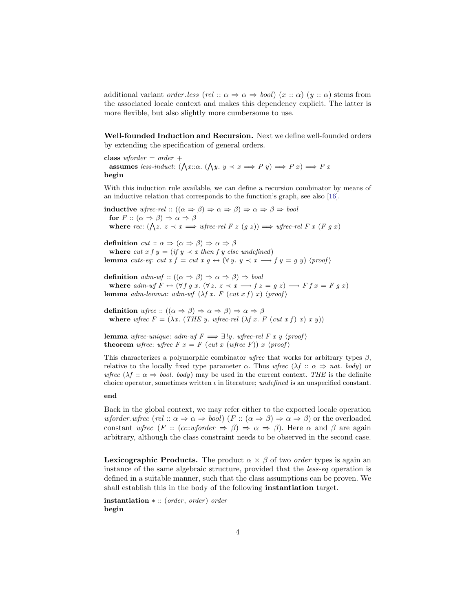additional variant *order less* (rel ::  $\alpha \Rightarrow \alpha \Rightarrow \text{bool}$ ) ( $x :: \alpha$ ) ( $y :: \alpha$ ) stems from the associated locale context and makes this dependency explicit. The latter is more flexible, but also slightly more cumbersome to use.

Well-founded Induction and Recursion. Next we define well-founded orders by extending the specification of general orders.

class wforder  $= order +$ assumes less-induct:  $(\bigwedge x$ : $\alpha$ .  $(\bigwedge y \colon y \prec x \Longrightarrow P \ y) \Longrightarrow P \ x) \Longrightarrow P \ x$ begin

With this induction rule available, we can define a recursion combinator by means of an inductive relation that corresponds to the function's graph, see also [\[16\]](#page-16-3).

inductive wfree-rel ::  $((\alpha \Rightarrow \beta) \Rightarrow \alpha \Rightarrow \beta) \Rightarrow \alpha \Rightarrow \beta \Rightarrow \text{bool}$ for  $F :: (\alpha \Rightarrow \beta) \Rightarrow \alpha \Rightarrow \beta$ where rec:  $(\bigwedge z. z \prec x \Longrightarrow wfree\text{-}rel \ F \ z \ (g \ z)) \Longrightarrow wfree\text{-}rel \ F \ x \ (F \ g \ x)$ 

definition  $cut :: \alpha \Rightarrow (\alpha \Rightarrow \beta) \Rightarrow \alpha \Rightarrow \beta$ where cut x f y = (if y  $\prec x$  then f y else undefined) lemma cuts-eq: cut  $xf = cut x g \leftrightarrow (\forall y. y \prec x \rightarrow f y = g y)$   $\langle proof \rangle$ 

definition  $adm\text{-}wf :: ((\alpha \Rightarrow \beta) \Rightarrow \alpha \Rightarrow \beta) \Rightarrow bool$ where adm-wf  $F \leftrightarrow (\forall f \, g \, x \cdot (\forall z \cdot z \prec x \rightarrow f \, z = g \, z) \rightarrow F \, f \, x = F \, g \, x)$ lemma adm-lemma: adm-wf  $(\lambda f \ x. \ F \ (cut \ x f) \ x) \ (proof)$ 

definition wfrec ::  $((\alpha \Rightarrow \beta) \Rightarrow \alpha \Rightarrow \beta) \Rightarrow \alpha \Rightarrow \beta$ where wfrec  $F = (\lambda x. (THE y. where *x* is a function of *x*, and *x* is a function of *x* and *y* is a function of *x*.$ 

lemma wfrec-unique: adm-wf  $F \implies \exists !y$ . wfrec-rel F x y  $\langle proof \rangle$ theorem wfrec: wfrec  $F x = F$  (cut x (wfrec F)) x  $\langle proof \rangle$ 

This characterizes a polymorphic combinator wfree that works for arbitrary types  $\beta$ , relative to the locally fixed type parameter  $\alpha$ . Thus wfree  $(\lambda f :: \alpha \Rightarrow nat. \text{ body})$  or wfrec  $(\lambda f :: \alpha \Rightarrow bool. body)$  may be used in the current context. THE is the definite choice operator, sometimes written  $\iota$  in literature; *undefined* is an unspecified constant.

### end

Back in the global context, we may refer either to the exported locale operation wforder wfrec (rel ::  $\alpha \Rightarrow \alpha \Rightarrow \text{bool}$ ) ( $F$  ::  $(\alpha \Rightarrow \beta) \Rightarrow \alpha \Rightarrow \beta$ ) or the overloaded constant wfree  $(F :: (\alpha::\text{wborder} \Rightarrow \beta) \Rightarrow \alpha \Rightarrow \beta)$ . Here  $\alpha$  and  $\beta$  are again arbitrary, although the class constraint needs to be observed in the second case.

**Lexicographic Products.** The product  $\alpha \times \beta$  of two *order* types is again an instance of the same algebraic structure, provided that the less-eq operation is defined in a suitable manner, such that the class assumptions can be proven. We shall establish this in the body of the following instantiation target.

instantiation ∗ :: (order , order ) order begin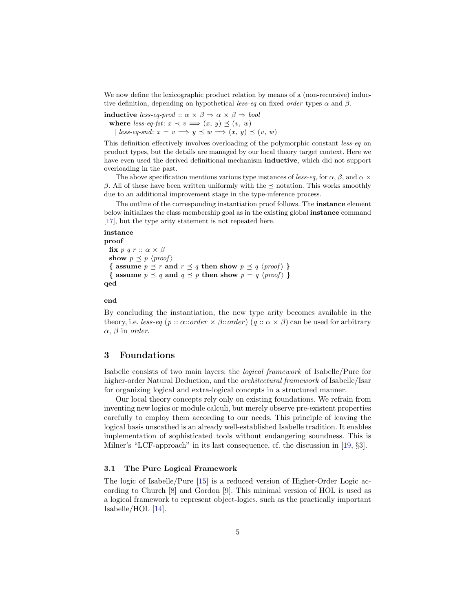We now define the lexicographic product relation by means of a (non-recursive) inductive definition, depending on hypothetical less-eq on fixed order types  $\alpha$  and  $\beta$ .

inductive less-eq-prod ::  $\alpha \times \beta \Rightarrow \alpha \times \beta \Rightarrow \text{bool}$ where less-eq-fst:  $x \prec v \Longrightarrow (x, y) \preceq (v, w)$ 

| less-eq-snd:  $x = v \implies y \preceq w \implies (x, y) \preceq (v, w)$ 

This definition effectively involves overloading of the polymorphic constant less-eq on product types, but the details are managed by our local theory target context. Here we have even used the derived definitional mechanism inductive, which did not support overloading in the past.

The above specification mentions various type instances of less-eq, for  $\alpha$ ,  $\beta$ , and  $\alpha \times$ β. All of these have been written uniformly with the  $\prec$  notation. This works smoothly due to an additional improvement stage in the type-inference process.

The outline of the corresponding instantiation proof follows. The instance element below initializes the class membership goal as in the existing global instance command [\[17\]](#page-16-2), but the type arity statement is not repeated here.

## instance

# proof

fix  $p \, q \, r :: \alpha \times \beta$ show  $p \preceq p \langle proof \rangle$ { assume  $p \preceq r$  and  $r \preceq q$  then show  $p \preceq q$   $\langle proof \rangle$  } { assume  $p \preceq q$  and  $q \preceq p$  then show  $p = q$   $\langle proof \rangle$ } qed

### end

By concluding the instantiation, the new type arity becomes available in the theory, i.e. less-eq (p ::  $\alpha$ ::order  $\times$   $\beta$ ::order) (q ::  $\alpha \times \beta$ ) can be used for arbitrary  $\alpha$ ,  $\beta$  in order.

# <span id="page-4-0"></span>3 Foundations

Isabelle consists of two main layers: the logical framework of Isabelle/Pure for higher-order Natural Deduction, and the *architectural framework* of Isabelle/Isar for organizing logical and extra-logical concepts in a structured manner.

Our local theory concepts rely only on existing foundations. We refrain from inventing new logics or module calculi, but merely observe pre-existent properties carefully to employ them according to our needs. This principle of leaving the logical basis unscathed is an already well-established Isabelle tradition. It enables implementation of sophisticated tools without endangering soundness. This is Milner's "LCF-approach" in its last consequence, cf. the discussion in [\[19,](#page-16-4) §3].

## <span id="page-4-1"></span>3.1 The Pure Logical Framework

The logic of Isabelle/Pure [\[15\]](#page-16-5) is a reduced version of Higher-Order Logic according to Church [\[8\]](#page-15-2) and Gordon [\[9\]](#page-15-3). This minimal version of HOL is used as a logical framework to represent object-logics, such as the practically important Isabelle/HOL [\[14\]](#page-16-1).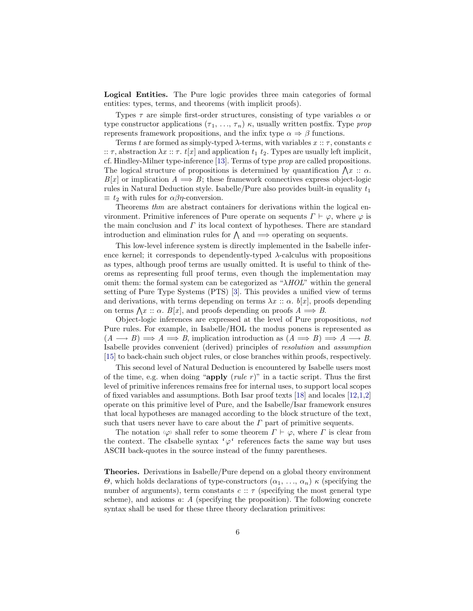Logical Entities. The Pure logic provides three main categories of formal entities: types, terms, and theorems (with implicit proofs).

Types  $\tau$  are simple first-order structures, consisting of type variables  $\alpha$  or type constructor applications  $(\tau_1, \ldots, \tau_n)$   $\kappa$ , usually written postfix. Type prop represents framework propositions, and the infix type  $\alpha \Rightarrow \beta$  functions.

Terms t are formed as simply-typed  $\lambda$ -terms, with variables  $x :: \tau$ , constants c ::  $\tau$ , abstraction  $\lambda x$  ::  $\tau$ .  $t[x]$  and application  $t_1$   $t_2$ . Types are usually left implicit, cf. Hindley-Milner type-inference [\[13\]](#page-16-6). Terms of type prop are called propositions. The logical structure of propositions is determined by quantification  $\Lambda x :: \alpha$ .  $B[x]$  or implication  $A \Longrightarrow B$ ; these framework connectives express object-logic rules in Natural Deduction style. Isabelle/Pure also provides built-in equality  $t_1$  $\equiv t_2$  with rules for  $\alpha\beta\eta$ -conversion.

Theorems thm are abstract containers for derivations within the logical environment. Primitive inferences of Pure operate on sequents  $\Gamma \vdash \varphi$ , where  $\varphi$  is the main conclusion and  $\Gamma$  its local context of hypotheses. There are standard introduction and elimination rules for  $\Lambda$  and  $\implies$  operating on sequents.

This low-level inference system is directly implemented in the Isabelle inference kernel; it corresponds to dependently-typed  $\lambda$ -calculus with propositions as types, although proof terms are usually omitted. It is useful to think of theorems as representing full proof terms, even though the implementation may omit them: the formal system can be categorized as " $\lambda HOL$ " within the general setting of Pure Type Systems (PTS) [\[3\]](#page-15-4). This provides a unified view of terms and derivations, with terms depending on terms  $\lambda x :: \alpha$ .  $b[x]$ , proofs depending on terms  $\bigwedge x :: \alpha$ .  $B[x]$ , and proofs depending on proofs  $A \Longrightarrow B$ .

Object-logic inferences are expressed at the level of Pure propositions, not Pure rules. For example, in Isabelle/HOL the modus ponens is represented as  $(A \rightarrow B) \Longrightarrow A \Longrightarrow B$ , implication introduction as  $(A \Longrightarrow B) \Longrightarrow A \longrightarrow B$ . Isabelle provides convenient (derived) principles of resolution and assumption [\[15\]](#page-16-5) to back-chain such object rules, or close branches within proofs, respectively.

This second level of Natural Deduction is encountered by Isabelle users most of the time, e.g. when doing "apply (rule  $r$ )" in a tactic script. Thus the first level of primitive inferences remains free for internal uses, to support local scopes of fixed variables and assumptions. Both Isar proof texts [\[18\]](#page-16-7) and locales [\[12,](#page-16-0)[1,](#page-15-5)[2\]](#page-15-1) operate on this primitive level of Pure, and the Isabelle/Isar framework ensures that local hypotheses are managed according to the block structure of the text, such that users never have to care about the  $\Gamma$  part of primitive sequents.

The notation  $\varphi$  shall refer to some theorem  $\Gamma \vdash \varphi$ , where  $\Gamma$  is clear from the context. The cIsabelle syntax  $\varphi$  references facts the same way but uses ASCII back-quotes in the source instead of the funny parentheses.

Theories. Derivations in Isabelle/Pure depend on a global theory environment Θ, which holds declarations of type-constructors  $(α_1, ..., α_n)$  κ (specifying the number of arguments), term constants  $c :: \tau$  (specifying the most general type scheme), and axioms  $a: A$  (specifying the proposition). The following concrete syntax shall be used for these three theory declaration primitives: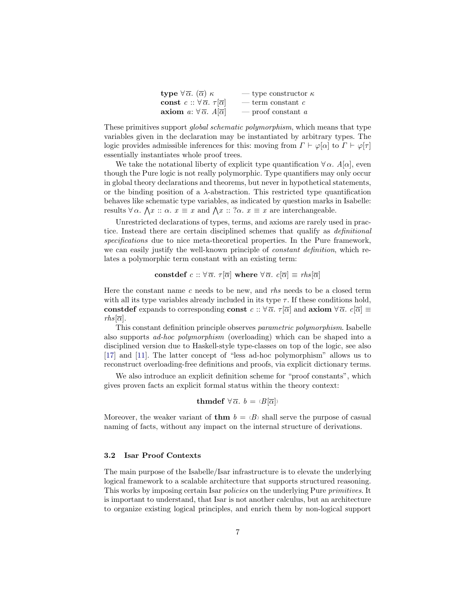| type $\forall \overline{\alpha}$ . $(\overline{\alpha}) \kappa$      | — type constructor $\kappa$ |
|----------------------------------------------------------------------|-----------------------------|
| const $c :: \forall \overline{\alpha}$ . $\tau[\overline{\alpha}]$   | — term constant $c$         |
| <b>axiom</b> a: $\forall \overline{\alpha}$ . $A[\overline{\alpha}]$ | — proof constant $a$        |

These primitives support global schematic polymorphism, which means that type variables given in the declaration may be instantiated by arbitrary types. The logic provides admissible inferences for this: moving from  $\Gamma \vdash \varphi[\alpha]$  to  $\Gamma \vdash \varphi[\tau]$ essentially instantiates whole proof trees.

We take the notational liberty of explicit type quantification  $\forall \alpha$ . A[ $\alpha$ ], even though the Pure logic is not really polymorphic. Type quantifiers may only occur in global theory declarations and theorems, but never in hypothetical statements, or the binding position of a  $\lambda$ -abstraction. This restricted type quantification behaves like schematic type variables, as indicated by question marks in Isabelle: results  $\forall \alpha$ .  $\bigwedge x :: \alpha$ .  $x \equiv x$  and  $\bigwedge x :: ?\alpha$ .  $x \equiv x$  are interchangeable.

Unrestricted declarations of types, terms, and axioms are rarely used in practice. Instead there are certain disciplined schemes that qualify as definitional specifications due to nice meta-theoretical properties. In the Pure framework, we can easily justify the well-known principle of *constant definition*, which relates a polymorphic term constant with an existing term:

constdef 
$$
c :: \forall \overline{\alpha} \cdot \tau[\overline{\alpha}]
$$
 where  $\forall \overline{\alpha} \cdot c[\overline{\alpha}] \equiv \mathit{rhs}[\overline{\alpha}]$ 

Here the constant name c needs to be new, and rhs needs to be a closed term with all its type variables already included in its type  $\tau$ . If these conditions hold, constdef expands to corresponding const  $c :: \forall \overline{\alpha}$ .  $\tau[\overline{\alpha}]$  and  $axiom \,\forall \overline{\alpha}$ .  $c[\overline{\alpha}] \equiv$  $rhs[\overline{\alpha}]$ .

This constant definition principle observes parametric polymorphism. Isabelle also supports ad-hoc polymorphism (overloading) which can be shaped into a disciplined version due to Haskell-style type-classes on top of the logic, see also [\[17\]](#page-16-2) and [\[11\]](#page-15-0). The latter concept of "less ad-hoc polymorphism" allows us to reconstruct overloading-free definitions and proofs, via explicit dictionary terms.

We also introduce an explicit definition scheme for "proof constants", which gives proven facts an explicit formal status within the theory context:

**th**mdef 
$$
\forall \overline{\alpha}
$$
.  $b = \langle B|\overline{\alpha}\rangle$ 

Moreover, the weaker variant of **thm**  $b = \langle B \rangle$  shall serve the purpose of casual naming of facts, without any impact on the internal structure of derivations.

## <span id="page-6-0"></span>3.2 Isar Proof Contexts

The main purpose of the Isabelle/Isar infrastructure is to elevate the underlying logical framework to a scalable architecture that supports structured reasoning. This works by imposing certain Isar policies on the underlying Pure primitives. It is important to understand, that Isar is not another calculus, but an architecture to organize existing logical principles, and enrich them by non-logical support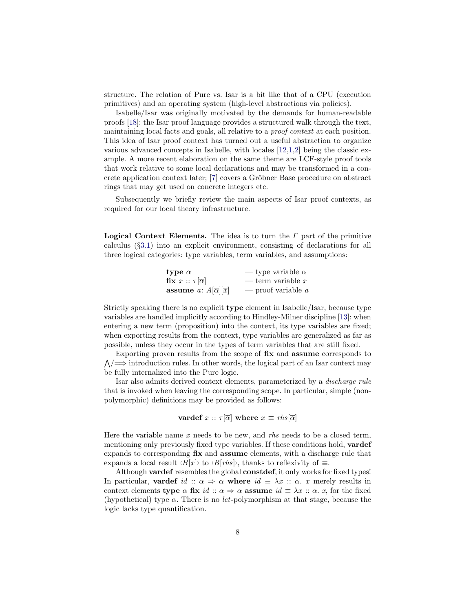structure. The relation of Pure vs. Isar is a bit like that of a CPU (execution primitives) and an operating system (high-level abstractions via policies).

Isabelle/Isar was originally motivated by the demands for human-readable proofs [\[18\]](#page-16-7): the Isar proof language provides a structured walk through the text, maintaining local facts and goals, all relative to a proof context at each position. This idea of Isar proof context has turned out a useful abstraction to organize various advanced concepts in Isabelle, with locales [\[12,](#page-16-0)[1,](#page-15-5)[2\]](#page-15-1) being the classic example. A more recent elaboration on the same theme are LCF-style proof tools that work relative to some local declarations and may be transformed in a con-crete application context later; [\[7\]](#page-15-6) covers a Gröbner Base procedure on abstract rings that may get used on concrete integers etc.

Subsequently we briefly review the main aspects of Isar proof contexts, as required for our local theory infrastructure.

**Logical Context Elements.** The idea is to turn the  $\Gamma$  part of the primitive calculus (§[3.1\)](#page-4-1) into an explicit environment, consisting of declarations for all three logical categories: type variables, term variables, and assumptions:

| type $\alpha$                                  | — type variable $\alpha$ |
|------------------------------------------------|--------------------------|
| fix $x :: \tau[\overline{\alpha}]$             | — term variable $x$      |
| assume a: $A[\overline{\alpha}][\overline{x}]$ | — proof variable $a$     |

Strictly speaking there is no explicit type element in Isabelle/Isar, because type variables are handled implicitly according to Hindley-Milner discipline [\[13\]](#page-16-6): when entering a new term (proposition) into the context, its type variables are fixed; when exporting results from the context, type variables are generalized as far as possible, unless they occur in the types of term variables that are still fixed.

Exporting proven results from the scope of fix and assume corresponds to  $\Lambda/\Longrightarrow$  introduction rules. In other words, the logical part of an Isar context may be fully internalized into the Pure logic.

Isar also admits derived context elements, parameterized by a discharge rule that is invoked when leaving the corresponding scope. In particular, simple (nonpolymorphic) definitions may be provided as follows:

$$
vardef x :: \tau[\overline{\alpha}] \text{ where } x \equiv \text{rhs}[\overline{\alpha}]
$$

Here the variable name  $x$  needs to be new, and  $rhs$  needs to be a closed term, mentioning only previously fixed type variables. If these conditions hold, **vardef** expands to corresponding fix and assume elements, with a discharge rule that expands a local result  $\langle B[x] \rangle$  to  $\langle B[rhs] \rangle$ , thanks to reflexivity of  $\equiv$ .

Although vardef resembles the global constdef, it only works for fixed types! In particular, vardef id ::  $\alpha \Rightarrow \alpha$  where id  $\equiv \lambda x$  ::  $\alpha$ . x merely results in context elements type  $\alpha$  fix id ::  $\alpha \Rightarrow \alpha$  assume id  $\equiv \lambda x$  ::  $\alpha$ . x, for the fixed (hypothetical) type  $\alpha$ . There is no *let*-polymorphism at that stage, because the logic lacks type quantification.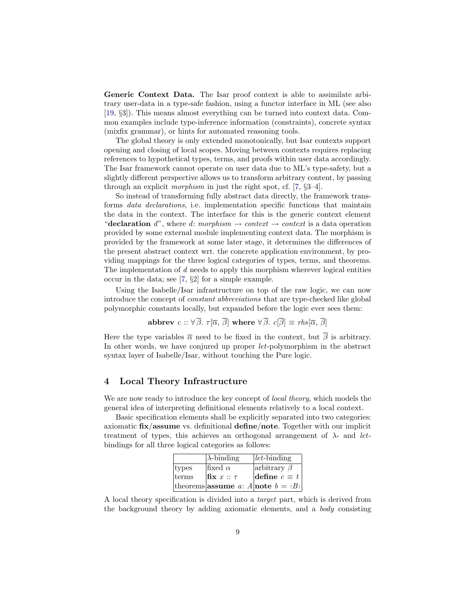Generic Context Data. The Isar proof context is able to assimilate arbitrary user-data in a type-safe fashion, using a functor interface in ML (see also [\[19,](#page-16-4) §3]). This means almost everything can be turned into context data. Common examples include type-inference information (constraints), concrete syntax (mixfix grammar), or hints for automated reasoning tools.

The global theory is only extended monotonically, but Isar contexts support opening and closing of local scopes. Moving between contexts requires replacing references to hypothetical types, terms, and proofs within user data accordingly. The Isar framework cannot operate on user data due to ML's type-safety, but a slightly different perspective allows us to transform arbitrary content, by passing through an explicit morphism in just the right spot, cf. [\[7,](#page-15-6) §3–4].

So instead of transforming fully abstract data directly, the framework transforms data declarations, i.e. implementation specific functions that maintain the data in the context. The interface for this is the generic context element "declaration d", where d: morphism  $\rightarrow$  context  $\rightarrow$  context is a data operation provided by some external module implementing context data. The morphism is provided by the framework at some later stage, it determines the differences of the present abstract context wrt. the concrete application environment, by providing mappings for the three logical categories of types, terms, and theorems. The implementation of d needs to apply this morphism wherever logical entities occur in the data; see [\[7,](#page-15-6) §2] for a simple example.

Using the Isabelle/Isar infrastructure on top of the raw logic, we can now introduce the concept of constant abbreviations that are type-checked like global polymorphic constants locally, but expanded before the logic ever sees them:

**abbrev** 
$$
c :: \forall \overline{\beta} . \tau | \overline{\alpha}, \overline{\beta} |
$$
 where  $\forall \overline{\beta} . c | \overline{\beta} | \equiv \text{rhs} | \overline{\alpha}, \overline{\beta} |$ 

Here the type variables  $\bar{\alpha}$  need to be fixed in the context, but  $\bar{\beta}$  is arbitrary. In other words, we have conjured up proper let-polymorphism in the abstract syntax layer of Isabelle/Isar, without touching the Pure logic.

## <span id="page-8-0"></span>4 Local Theory Infrastructure

We are now ready to introduce the key concept of *local theory*, which models the general idea of interpreting definitional elements relatively to a local context.

Basic specification elements shall be explicitly separated into two categories: axiomatic fix/assume vs. definitional define/note. Together with our implicit treatment of types, this achieves an orthogonal arrangement of  $\lambda$ - and letbindings for all three logical categories as follows:

|       | $\lambda$ -binding | $let$ -binding                                    |
|-------|--------------------|---------------------------------------------------|
| types | fixed $\alpha$     | arbitrary $\beta$                                 |
| terms | fix $x :: \tau$    | define $c \equiv t$                               |
|       |                    | theorems assume a: A note $b = \langle B \rangle$ |

A local theory specification is divided into a target part, which is derived from the background theory by adding axiomatic elements, and a body consisting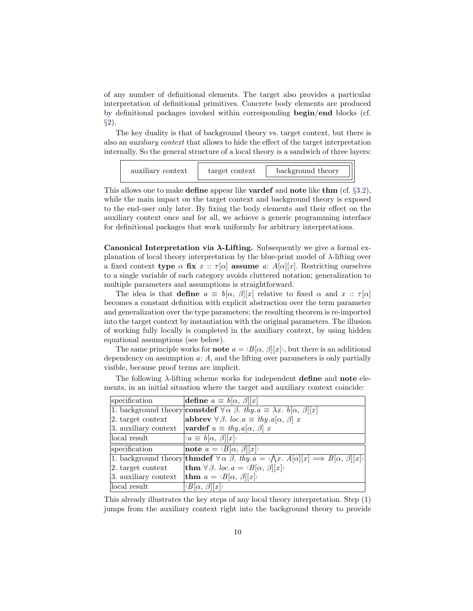of any number of definitional elements. The target also provides a particular interpretation of definitional primitives. Concrete body elements are produced by definitional packages invoked within corresponding begin/end blocks (cf. §[2\)](#page-1-0).

The key duality is that of background theory vs. target context, but there is also an auxiliary context that allows to hide the effect of the target interpretation internally. So the general structure of a local theory is a sandwich of three layers:

| auxiliary context | target context | background theory |
|-------------------|----------------|-------------------|

This allows one to make define appear like vardef and note like thm (cf. §[3.2\)](#page-6-0), while the main impact on the target context and background theory is exposed to the end-user only later. By fixing the body elements and their effect on the auxiliary context once and for all, we achieve a generic programming interface for definitional packages that work uniformly for arbitrary interpretations.

Canonical Interpretation via  $\lambda$ -Lifting. Subsequently we give a formal explanation of local theory interpretation by the blue-print model of  $\lambda$ -lifting over a fixed context type  $\alpha$  fix  $x : \tau[\alpha]$  assume  $\alpha : A[\alpha][x]$ . Restricting ourselves to a single variable of each category avoids cluttered notation; generalization to multiple parameters and assumptions is straightforward.

The idea is that **define**  $a \equiv b[\alpha, \beta][x]$  relative to fixed  $\alpha$  and  $x :: \tau[\alpha]$ becomes a constant definition with explicit abstraction over the term parameter and generalization over the type parameters; the resulting theorem is re-imported into the target context by instantiation with the original parameters. The illusion of working fully locally is completed in the auxiliary context, by using hidden equational assumptions (see below).

The same principle works for **note**  $a = \langle B(\alpha, \beta | x] \rangle$ , but there is an additional dependency on assumption  $a: A$ , and the lifting over parameters is only partially visible, because proof terms are implicit.

The following  $\lambda$ -lifting scheme works for independent **define** and **note** elements, in an initial situation where the target and auxiliary context coincide:

| specification        | define $a \equiv b \alpha, \beta  x $                                                                                                         |
|----------------------|-----------------------------------------------------------------------------------------------------------------------------------------------|
|                      | 1. background theory constdef $\forall \alpha \beta$ . thy $a \equiv \lambda x$ . $b[\alpha, \beta][x]$                                       |
| 2. target context    | abbrev $\forall \beta$ . loc.a $\equiv$ thy.a[ $\alpha$ , $\beta$ ] x                                                                         |
| 3. auxiliary context | <b>vardef</b> $a \equiv thy.a[\alpha, \beta] x$                                                                                               |
| local result         | $\langle a \equiv b[\alpha, \beta][x] \rangle$                                                                                                |
| specification        | note $a = \langle B[\alpha, \beta][x] \rangle$                                                                                                |
|                      | 1. background theory then def $\forall \alpha \beta$ . thy. $a = \langle \Lambda x. A[\alpha][x] \Longrightarrow B[\alpha, \beta][x] \rangle$ |
| 2. target context    | <b>thm</b> $\forall \beta$ . <i>loc.a</i> = $\langle B[\alpha, \beta][x] \rangle$                                                             |
|                      | 3. auxiliary context then $a = \langle B[\alpha, \beta][x] \rangle$                                                                           |
| local result         | $\langle B \alpha, \beta  x \rangle$                                                                                                          |

This already illustrates the key steps of any local theory interpretation. Step (1) jumps from the auxiliary context right into the background theory to provide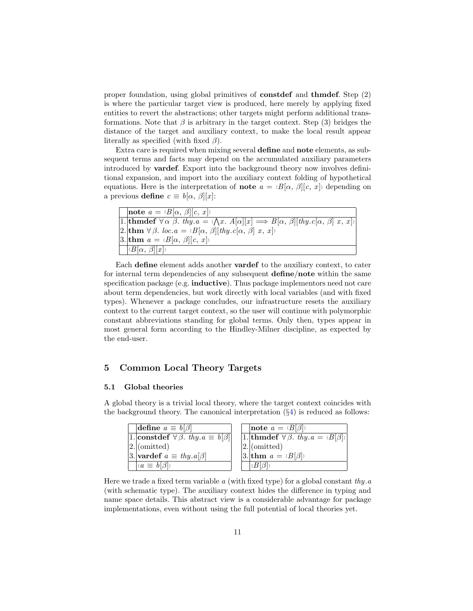proper foundation, using global primitives of constdef and thmdef. Step (2) is where the particular target view is produced, here merely by applying fixed entities to revert the abstractions; other targets might perform additional transformations. Note that  $\beta$  is arbitrary in the target context. Step (3) bridges the distance of the target and auxiliary context, to make the local result appear literally as specified (with fixed  $\beta$ ).

Extra care is required when mixing several define and note elements, as subsequent terms and facts may depend on the accumulated auxiliary parameters introduced by vardef. Export into the background theory now involves definitional expansion, and import into the auxiliary context folding of hypothetical equations. Here is the interpretation of **note**  $a = \langle B[\alpha, \beta][c, x] \rangle$  depending on a previous **define**  $c \equiv b[\alpha, \beta][x]$ :

| <b>note</b> $a = \langle B[\alpha, \beta][c, x] \rangle$                                                                                            |
|-----------------------------------------------------------------------------------------------------------------------------------------------------|
| 1. <b>thmdef</b> $\forall \alpha \beta$ , thy $a = \langle \Lambda x, A[\alpha][x] \Rightarrow B[\alpha, \beta][thy.c[\alpha, \beta] x, x] \rangle$ |
| 2. thm $\forall \beta$ . loc.a = $\langle B[\alpha, \beta] [thy.c[\alpha, \beta] x, x] \rangle$                                                     |
| 3. thm $a = \langle B[\alpha, \beta][c, x] \rangle$                                                                                                 |
| $ \,\cdot\,  \langle B[\alpha,\,\beta][x]\rangle$                                                                                                   |

Each define element adds another vardef to the auxiliary context, to cater for internal term dependencies of any subsequent define/note within the same specification package (e.g. **inductive**). Thus package implementors need not care about term dependencies, but work directly with local variables (and with fixed types). Whenever a package concludes, our infrastructure resets the auxiliary context to the current target context, so the user will continue with polymorphic constant abbreviations standing for global terms. Only then, types appear in most general form according to the Hindley-Milner discipline, as expected by the end-user.

# <span id="page-10-0"></span>5 Common Local Theory Targets

## <span id="page-10-1"></span>5.1 Global theories

A global theory is a trivial local theory, where the target context coincides with the background theory. The canonical interpretation  $(\S 4)$  $(\S 4)$  is reduced as follows:

| define $a \equiv b[\beta]$                             |  | $\vert$ <b>note</b> $a = \langle B   \beta \vert$               |
|--------------------------------------------------------|--|-----------------------------------------------------------------|
| 1. constdef $\forall \beta$ . thy. $a \equiv b[\beta]$ |  | 1. thmdef $\forall \beta$ . thy. $a = \langle B[\beta] \rangle$ |
| $2$ . (omitted)                                        |  | $ 2. $ (omitted)                                                |
| 3. vardef $a \equiv thy.a[\beta]$                      |  | 3. thm $a = \langle B \beta\rangle$                             |
| $ a \equiv b[\beta]$                                   |  | $\langle B[\beta] \rangle$                                      |

Here we trade a fixed term variable  $a$  (with fixed type) for a global constant thy.  $a$ (with schematic type). The auxiliary context hides the difference in typing and name space details. This abstract view is a considerable advantage for package implementations, even without using the full potential of local theories yet.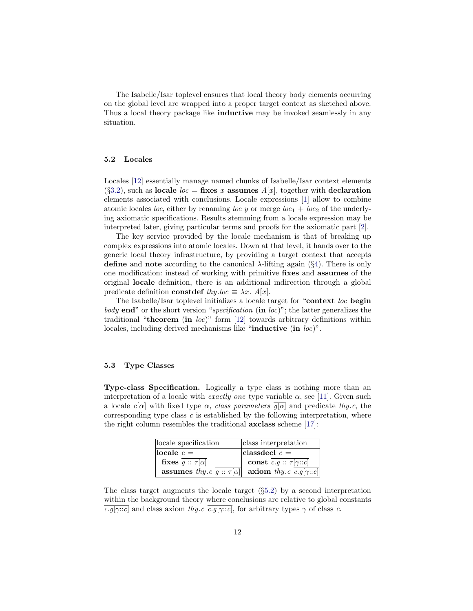The Isabelle/Isar toplevel ensures that local theory body elements occurring on the global level are wrapped into a proper target context as sketched above. Thus a local theory package like **inductive** may be invoked seamlessly in any situation.

# <span id="page-11-1"></span>5.2 Locales

Locales [\[12\]](#page-16-0) essentially manage named chunks of Isabelle/Isar context elements (§[3.2\)](#page-6-0), such as locale  $loc =$  fixes x assumes  $A[x]$ , together with declaration elements associated with conclusions. Locale expressions [\[1\]](#page-15-5) allow to combine atomic locales loc, either by renaming loc y or merge  $loc_1 + loc_2$  of the underlying axiomatic specifications. Results stemming from a locale expression may be interpreted later, giving particular terms and proofs for the axiomatic part [\[2\]](#page-15-1).

The key service provided by the locale mechanism is that of breaking up complex expressions into atomic locales. Down at that level, it hands over to the generic local theory infrastructure, by providing a target context that accepts define and note according to the canonical  $\lambda$ -lifting again (§[4\)](#page-8-0). There is only one modification: instead of working with primitive fixes and assumes of the original locale definition, there is an additional indirection through a global predicate definition **constdef** thy.loc  $\equiv \lambda x$ . A[x].

The Isabelle/Isar toplevel initializes a locale target for "context loc begin body **end**" or the short version "specification (in loc)"; the latter generalizes the traditional "theorem (in  $loc$ )" form [\[12\]](#page-16-0) towards arbitrary definitions within locales, including derived mechanisms like "inductive (in loc)".

### <span id="page-11-0"></span>5.3 Type Classes

Type-class Specification. Logically a type class is nothing more than an interpretation of a locale with *exactly one* type variable  $\alpha$ , see [\[11\]](#page-15-0). Given such a locale c[ $\alpha$ ] with fixed type  $\alpha$ , class parameters  $\overline{g[\alpha]}$  and predicate thy.c, the corresponding type class  $c$  is established by the following interpretation, where the right column resembles the traditional axclass scheme [\[17\]](#page-16-2):

| locale specification                                               | class interpretation             |
|--------------------------------------------------------------------|----------------------------------|
| locale $c=$                                                        | classdecl $c =$                  |
| fixes $g : \tau[\alpha]$                                           | const $c.g :: \tau[\gamma :: c]$ |
| assumes thy.c $g :: \tau[\alpha]$ axiom thy.c c.g[ $\gamma :: c$ ] |                                  |

The class target augments the locale target  $(\S 5.2)$  $(\S 5.2)$  by a second interpretation within the background theory where conclusions are relative to global constants  $\overline{c.g[\gamma::c]}$  and class axiom thy.c  $\overline{c.g[\gamma::c]}$ , for arbitrary types  $\gamma$  of class c.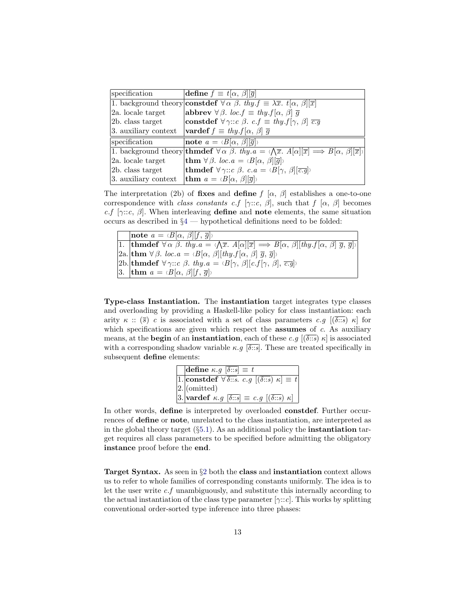| specification        | define $f \equiv t[\alpha, \beta][\overline{q}]$                                                                                                                                       |
|----------------------|----------------------------------------------------------------------------------------------------------------------------------------------------------------------------------------|
|                      | 1. background theory constdef $\forall \alpha \beta$ . thy.f $\equiv \lambda \bar{x}$ . t[ $\alpha$ , $\beta$ ][ $\bar{x}$ ]                                                           |
| 2a. locale target    | abbrev $\forall \beta$ . loc.f $\equiv$ thy.f[ $\alpha$ , $\beta$ ] $\overline{g}$                                                                                                     |
| 2b. class target     | constdef $\forall \gamma :: c \beta$ . $c.f \equiv thy.f[\gamma, \beta] \overline{c.g}$                                                                                                |
| 3. auxiliary context | $\mathbf{varedef} f \equiv \mathit{thy.f}[\alpha, \beta] \bar{g}$                                                                                                                      |
| specification        | note $a = \langle B \alpha, \beta \overline{g} $                                                                                                                                       |
|                      | 1. background theory then def $\forall \alpha \beta$ . thy. $a = \langle \Lambda \overline{x} \cdot A[\alpha]   \overline{x} \rangle \implies B[\alpha, \beta]   \overline{x} \rangle$ |
| 2a. locale target    | <b>thm</b> $\forall \beta$ . <i>loc.a</i> = $\langle B[\alpha, \beta][\overline{q}] \rangle$                                                                                           |
| 2b. class target     | <b>thmdef</b> $\forall \gamma :: c \beta$ . $c.a = \langle B[\gamma, \beta][\overline{c.g}] \rangle$                                                                                   |
| 3. auxiliary context | <b>thm</b> $a = \langle B[\alpha, \beta][\overline{q}] \rangle$                                                                                                                        |

The interpretation (2b) of fixes and define f [ $\alpha$ ,  $\beta$ ] establishes a one-to-one correspondence with *class constants c.f* [γ: $c, \beta$ ], such that  $f$  [ $\alpha, \beta$ ] becomes c.f [γ::c, β]. When interleaving **define** and **note** elements, the same situation occurs as described in §[4](#page-8-0) — hypothetical definitions need to be folded:

| <b>note</b> $a = \langle B[\alpha, \beta][f, \overline{g}]\rangle$                                                                                                                                    |
|-------------------------------------------------------------------------------------------------------------------------------------------------------------------------------------------------------|
| 1. <b>thmdef</b> $\forall \alpha \beta$ , thy, $a = \langle \Lambda \overline{x}, A[\alpha][\overline{x}] \implies B[\alpha, \beta][\text{thy.f}[\alpha, \beta], \overline{g}, \overline{g}] \rangle$ |
| $ 2a. \textbf{thm} \,\,\forall \beta. \,\, loc.a = \langle B[\alpha, \beta] [thy.f[\alpha, \beta] \,\,\overline{g}, \,\overline{g}] \rangle$                                                          |
| 2b.  <b>thmdef</b> $\forall \gamma :: c \beta$ . thy. $a = \langle B[\gamma, \beta][c.f[\gamma, \beta], \overline{c.g}]\rangle$                                                                       |
| 3. thm $a = \langle B[\alpha, \beta][f, \overline{g}] \rangle$                                                                                                                                        |

Type-class Instantiation. The instantiation target integrates type classes and overloading by providing a Haskell-like policy for class instantiation: each arity  $\kappa$  :: ( $\overline{s}$ ) c is associated with a set of class parameters c.g  $[(\delta::s) \kappa]$  for which specifications are given which respect the **assumes** of  $c$ . As auxiliary means, at the **begin** of an **instantiation**, each of these c.g  $[(\delta::s) \kappa]$  is associated with a corresponding shadow variable  $\kappa$ .g  $\delta$ :s.s. These are treated specifically in subsequent define elements:

| define $\kappa.g\;[\overline{\delta::s}] \equiv t$                                         |
|--------------------------------------------------------------------------------------------|
| 1. constdef $\forall \overline{\delta::s}.$ c.g $[(\overline{\delta::s}) \kappa] \equiv t$ |
| $ 2. $ (omitted)                                                                           |
| 3. vardef $\kappa.g$ $[\delta::s] \equiv c.g$ $[(\delta::s) \kappa]$                       |

In other words, define is interpreted by overloaded constdef. Further occurrences of define or note, unrelated to the class instantiation, are interpreted as in the global theory target  $(\S 5.1)$  $(\S 5.1)$ . As an additional policy the **instantiation** target requires all class parameters to be specified before admitting the obligatory instance proof before the end.

**Target Syntax.** As seen in  $\S2$  $\S2$  both the **class** and **instantiation** context allows us to refer to whole families of corresponding constants uniformly. The idea is to let the user write c.f unambiguously, and substitute this internally according to the actual instantiation of the class type parameter  $[\gamma : c]$ . This works by splitting conventional order-sorted type inference into three phases: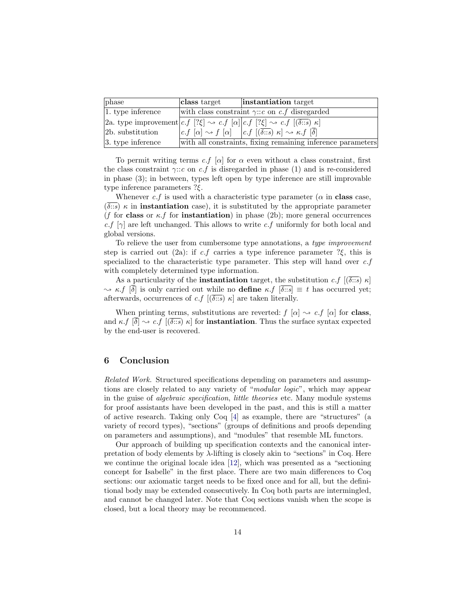| phase             | <b>class</b> target                                         | instantiation target                                                                                                            |
|-------------------|-------------------------------------------------------------|---------------------------------------------------------------------------------------------------------------------------------|
| 1. type inference |                                                             | with class constraint $\gamma$ : c on c.f disregarded                                                                           |
|                   |                                                             | 2a. type improvement $ c.f $ ? $\epsilon   \sim c.f$ $ \alpha   c.f $ ? $\epsilon   \sim c.f$ $ (\overline{\delta::s}) \kappa $ |
| 2b. substitution  |                                                             | $ c.f  \alpha \rightarrow f  \alpha $ $ c.f  (\overline{\delta : s}) \kappa \rightarrow \kappa.f   \overline{\delta} $          |
| 3. type inference | with all constraints, fixing remaining inference parameters |                                                                                                                                 |

To permit writing terms c.f [ $\alpha$ ] for  $\alpha$  even without a class constraint, first the class constraint  $\gamma$ :: c on c.f is disregarded in phase (1) and is re-considered in phase (3); in between, types left open by type inference are still improvable type inference parameters ?ξ.

Whenever c.f is used with a characteristic type parameter ( $\alpha$  in class case,  $(\delta::s)$  κ in **instantiation** case), it is substituted by the appropriate parameter (f for class or  $\kappa$ .f for instantiation) in phase (2b); more general occurrences  $c.f$  [γ] are left unchanged. This allows to write  $c.f$  uniformly for both local and global versions.

To relieve the user from cumbersome type annotations, a type improvement step is carried out (2a): if c.f carries a type inference parameter ?ξ, this is specialized to the characteristic type parameter. This step will hand over  $c.f$ with completely determined type information.

As a particularity of the **instantiation** target, the substitution c.f  $[(\delta::s) \kappa]$  $\rightsquigarrow$   $\kappa.f$   $\delta$  is only carried out while no **define**  $\kappa.f$   $\delta$ ::s  $\equiv t$  has occurred yet; afterwards, occurrences of c.f  $[(\delta::s) \kappa]$  are taken literally.

When printing terms, substitutions are reverted:  $f(\alpha) \rightsquigarrow c.f(\alpha)$  for **class**, and  $\kappa f$   $\overline{\delta}$   $\sim$  c.f  $\overline{\delta}$ :  $\overline{\delta}$   $\kappa$  for **instantiation**. Thus the surface syntax expected by the end-user is recovered.

# 6 Conclusion

Related Work. Structured specifications depending on parameters and assumptions are closely related to any variety of "modular logic", which may appear in the guise of algebraic specification, little theories etc. Many module systems for proof assistants have been developed in the past, and this is still a matter of active research. Taking only Coq [\[4\]](#page-15-7) as example, there are "structures" (a variety of record types), "sections" (groups of definitions and proofs depending on parameters and assumptions), and "modules" that resemble ML functors.

Our approach of building up specification contexts and the canonical interpretation of body elements by  $\lambda$ -lifting is closely akin to "sections" in Coq. Here we continue the original locale idea [\[12\]](#page-16-0), which was presented as a "sectioning concept for Isabelle" in the first place. There are two main differences to Coq sections: our axiomatic target needs to be fixed once and for all, but the definitional body may be extended consecutively. In Coq both parts are intermingled, and cannot be changed later. Note that Coq sections vanish when the scope is closed, but a local theory may be recommenced.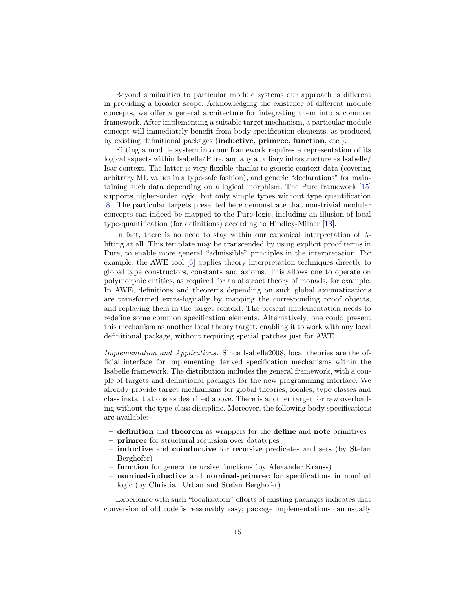Beyond similarities to particular module systems our approach is different in providing a broader scope. Acknowledging the existence of different module concepts, we offer a general architecture for integrating them into a common framework. After implementing a suitable target mechanism, a particular module concept will immediately benefit from body specification elements, as produced by existing definitional packages (inductive, primrec, function, etc.).

Fitting a module system into our framework requires a representation of its logical aspects within Isabelle/Pure, and any auxiliary infrastructure as Isabelle/ Isar context. The latter is very flexible thanks to generic context data (covering arbitrary ML values in a type-safe fashion), and generic "declarations" for maintaining such data depending on a logical morphism. The Pure framework [\[15\]](#page-16-5) supports higher-order logic, but only simple types without type quantification [\[8\]](#page-15-2). The particular targets presented here demonstrate that non-trivial modular concepts can indeed be mapped to the Pure logic, including an illusion of local type-quantification (for definitions) according to Hindley-Milner [\[13\]](#page-16-6).

In fact, there is no need to stay within our canonical interpretation of  $\lambda$ lifting at all. This template may be transcended by using explicit proof terms in Pure, to enable more general "admissible" principles in the interpretation. For example, the AWE tool [\[6\]](#page-15-8) applies theory interpretation techniques directly to global type constructors, constants and axioms. This allows one to operate on polymorphic entities, as required for an abstract theory of monads, for example. In AWE, definitions and theorems depending on such global axiomatizations are transformed extra-logically by mapping the corresponding proof objects, and replaying them in the target context. The present implementation needs to redefine some common specification elements. Alternatively, one could present this mechanism as another local theory target, enabling it to work with any local definitional package, without requiring special patches just for AWE.

Implementation and Applications. Since Isabelle2008, local theories are the official interface for implementing derived specification mechanisms within the Isabelle framework. The distribution includes the general framework, with a couple of targets and definitional packages for the new programming interface. We already provide target mechanisms for global theories, locales, type classes and class instantiations as described above. There is another target for raw overloading without the type-class discipline. Moreover, the following body specifications are available:

- definition and theorem as wrappers for the define and note primitives
- primrec for structural recursion over datatypes
- inductive and coinductive for recursive predicates and sets (by Stefan Berghofer)
- function for general recursive functions (by Alexander Krauss)
- nominal-inductive and nominal-primrec for specifications in nominal logic (by Christian Urban and Stefan Berghofer)

Experience with such "localization" efforts of existing packages indicates that conversion of old code is reasonably easy; package implementations can usually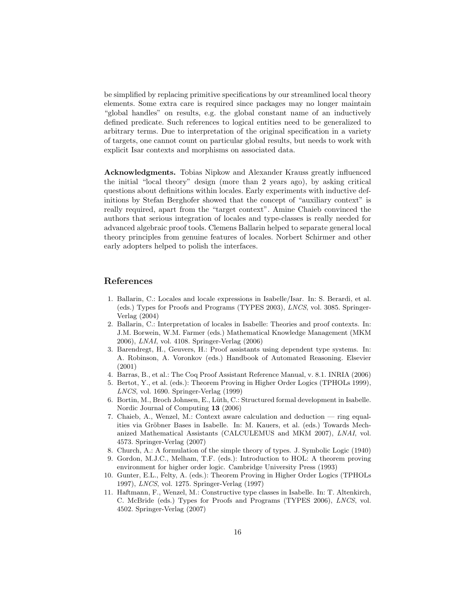be simplified by replacing primitive specifications by our streamlined local theory elements. Some extra care is required since packages may no longer maintain "global handles" on results, e.g. the global constant name of an inductively defined predicate. Such references to logical entities need to be generalized to arbitrary terms. Due to interpretation of the original specification in a variety of targets, one cannot count on particular global results, but needs to work with explicit Isar contexts and morphisms on associated data.

Acknowledgments. Tobias Nipkow and Alexander Krauss greatly influenced the initial "local theory" design (more than 2 years ago), by asking critical questions about definitions within locales. Early experiments with inductive definitions by Stefan Berghofer showed that the concept of "auxiliary context" is really required, apart from the "target context". Amine Chaieb convinced the authors that serious integration of locales and type-classes is really needed for advanced algebraic proof tools. Clemens Ballarin helped to separate general local theory principles from genuine features of locales. Norbert Schirmer and other early adopters helped to polish the interfaces.

## References

- <span id="page-15-5"></span>1. Ballarin, C.: Locales and locale expressions in Isabelle/Isar. In: S. Berardi, et al. (eds.) Types for Proofs and Programs (TYPES 2003), LNCS, vol. 3085. Springer-Verlag (2004)
- <span id="page-15-1"></span>2. Ballarin, C.: Interpretation of locales in Isabelle: Theories and proof contexts. In: J.M. Borwein, W.M. Farmer (eds.) Mathematical Knowledge Management (MKM 2006), LNAI, vol. 4108. Springer-Verlag (2006)
- <span id="page-15-4"></span>3. Barendregt, H., Geuvers, H.: Proof assistants using dependent type systems. In: A. Robinson, A. Voronkov (eds.) Handbook of Automated Reasoning. Elsevier (2001)
- <span id="page-15-7"></span>4. Barras, B., et al.: The Coq Proof Assistant Reference Manual, v. 8.1. INRIA (2006)
- <span id="page-15-9"></span>5. Bertot, Y., et al. (eds.): Theorem Proving in Higher Order Logics (TPHOLs 1999), LNCS, vol. 1690. Springer-Verlag (1999)
- <span id="page-15-8"></span>6. Bortin, M., Broch Johnsen, E., Lüth, C.: Structured formal development in Isabelle. Nordic Journal of Computing 13 (2006)
- <span id="page-15-6"></span>7. Chaieb, A., Wenzel, M.: Context aware calculation and deduction — ring equalities via Gröbner Bases in Isabelle. In: M. Kauers, et al. (eds.) Towards Mechanized Mathematical Assistants (CALCULEMUS and MKM 2007), LNAI, vol. 4573. Springer-Verlag (2007)
- <span id="page-15-2"></span>8. Church, A.: A formulation of the simple theory of types. J. Symbolic Logic (1940)
- <span id="page-15-3"></span>9. Gordon, M.J.C., Melham, T.F. (eds.): Introduction to HOL: A theorem proving environment for higher order logic. Cambridge University Press (1993)
- <span id="page-15-10"></span>10. Gunter, E.L., Felty, A. (eds.): Theorem Proving in Higher Order Logics (TPHOLs 1997), LNCS, vol. 1275. Springer-Verlag (1997)
- <span id="page-15-0"></span>11. Haftmann, F., Wenzel, M.: Constructive type classes in Isabelle. In: T. Altenkirch, C. McBride (eds.) Types for Proofs and Programs (TYPES 2006), LNCS, vol. 4502. Springer-Verlag (2007)